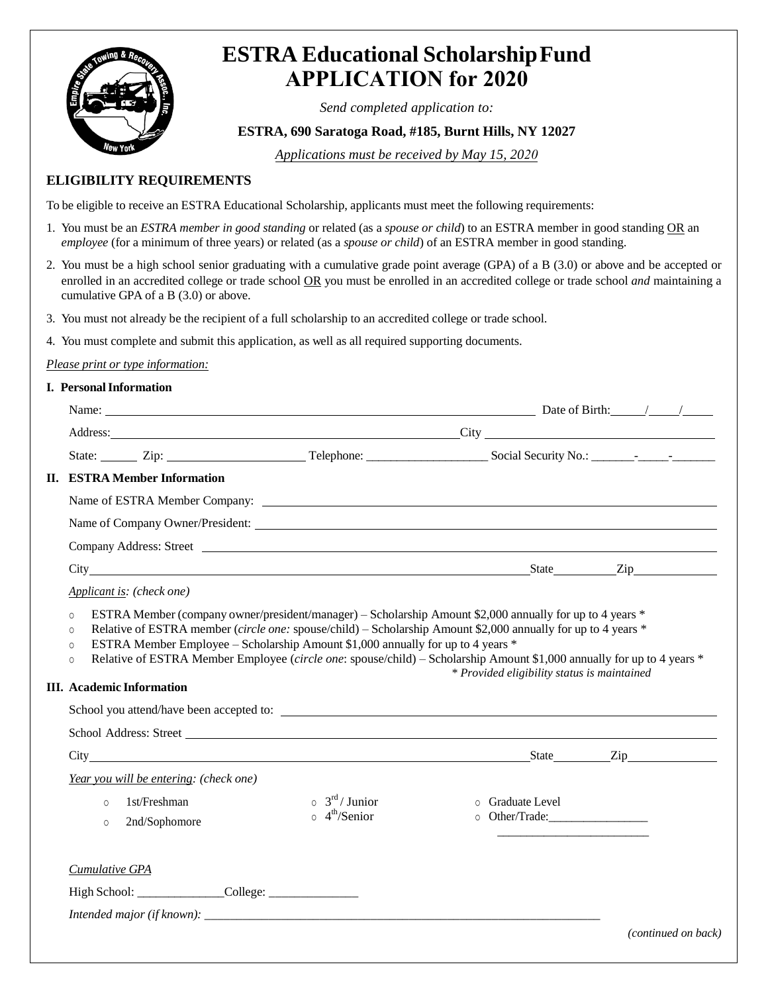

# **ESTRA Educational Scholarship Fund APPLICATION for 2020**

*Send completed application to:*

## **ESTRA, 690 Saratoga Road, #185, Burnt Hills, NY 12027**

*Applications must be received by May 15, 2020*

### **ELIGIBILITY REQUIREMENTS**

To be eligible to receive an ESTRA Educational Scholarship, applicants must meet the following requirements:

- 1. You must be an *ESTRA member in good standing* or related (as a *spouse or child*) to an ESTRA member in good standing OR an *employee* (for a minimum of three years) or related (as a *spouse or child*) of an ESTRA member in good standing.
- 2. You must be a high school senior graduating with a cumulative grade point average (GPA) of a B (3.0) or above and be accepted or enrolled in an accredited college or trade school OR you must be enrolled in an accredited college or trade school *and* maintaining a cumulative GPA of a B (3.0) or above.
- 3. You must not already be the recipient of a full scholarship to an accredited college or trade school.
- 4. You must complete and submit this application, as well as all required supporting documents.

#### *Please print or type information:*

#### **I. Personal Information**

| Name: $\frac{1}{2}$ Date of Birth: $\frac{1}{2}$ Date of Birth: $\frac{1}{2}$                                                                                                                                                                                                                                                                                                                     |                                                                     |                                             |                     |
|---------------------------------------------------------------------------------------------------------------------------------------------------------------------------------------------------------------------------------------------------------------------------------------------------------------------------------------------------------------------------------------------------|---------------------------------------------------------------------|---------------------------------------------|---------------------|
|                                                                                                                                                                                                                                                                                                                                                                                                   |                                                                     |                                             |                     |
|                                                                                                                                                                                                                                                                                                                                                                                                   |                                                                     |                                             |                     |
| <b>II. ESTRA Member Information</b>                                                                                                                                                                                                                                                                                                                                                               |                                                                     |                                             |                     |
|                                                                                                                                                                                                                                                                                                                                                                                                   |                                                                     |                                             |                     |
|                                                                                                                                                                                                                                                                                                                                                                                                   |                                                                     |                                             |                     |
|                                                                                                                                                                                                                                                                                                                                                                                                   |                                                                     |                                             |                     |
| City State Zip                                                                                                                                                                                                                                                                                                                                                                                    |                                                                     |                                             |                     |
| Applicant is: (check one)                                                                                                                                                                                                                                                                                                                                                                         |                                                                     |                                             |                     |
| Relative of ESTRA member (circle one: spouse/child) - Scholarship Amount \$2,000 annually for up to 4 years *<br>$\Omega$<br>ESTRA Member Employee - Scholarship Amount \$1,000 annually for up to 4 years *<br>$\circ$<br>Relative of ESTRA Member Employee (circle one: spouse/child) – Scholarship Amount \$1,000 annually for up to 4 years *<br>$\Omega$<br><b>III. Academic Information</b> |                                                                     | * Provided eligibility status is maintained |                     |
|                                                                                                                                                                                                                                                                                                                                                                                                   |                                                                     |                                             |                     |
| City State Zip                                                                                                                                                                                                                                                                                                                                                                                    |                                                                     |                                             |                     |
| Year you will be entering: (check one)<br>1st/Freshman<br>$\Omega$<br>2nd/Sophomore<br>$\circ$                                                                                                                                                                                                                                                                                                    | $\circ$ 3 <sup>rd</sup> / Junior<br>$\circ$ 4 <sup>th</sup> /Senior | o Graduate Level                            |                     |
| <b>Cumulative GPA</b>                                                                                                                                                                                                                                                                                                                                                                             |                                                                     |                                             |                     |
|                                                                                                                                                                                                                                                                                                                                                                                                   |                                                                     |                                             |                     |
|                                                                                                                                                                                                                                                                                                                                                                                                   |                                                                     |                                             |                     |
|                                                                                                                                                                                                                                                                                                                                                                                                   |                                                                     |                                             | (continued on back) |